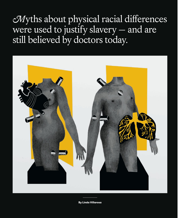*Myths about physical racial differences* were used to justify slavery — and are still believed by doctors today.



By Linda Villarosa